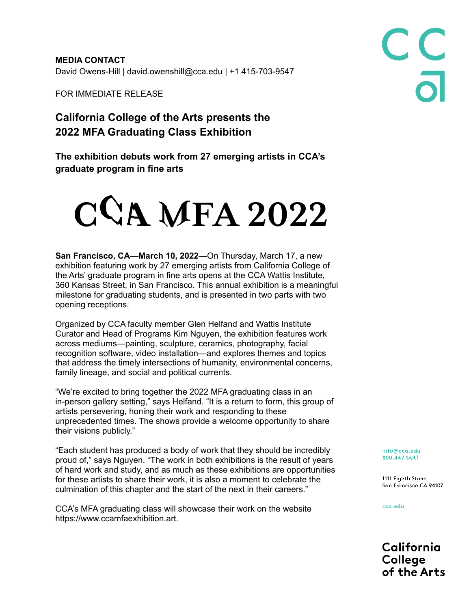**MEDIA CONTACT** David Owens-Hill | david.owenshill@cca.edu | +1 415-703-9547

FOR IMMEDIATE RELEASE

## **California College of the Arts presents the 2022 MFA Graduating Class Exhibition**

**The exhibition debuts work from 27 emerging artists in CCA's graduate program in fine arts**

## $CCA MFA 2022$

**San Francisco, CA—March 10, 2022—**On Thursday, March 17, a new exhibition featuring work by 27 emerging artists from California College of the Arts' graduate program in fine arts opens at the CCA Wattis Institute, 360 Kansas Street, in San Francisco. This annual exhibition is a meaningful milestone for graduating students, and is presented in two parts with two opening receptions.

Organized by CCA faculty member Glen Helfand and Wattis Institute Curator and Head of Programs Kim Nguyen, the exhibition features work across mediums—painting, sculpture, ceramics, photography, facial recognition software, video installation—and explores themes and topics that address the timely intersections of humanity, environmental concerns, family lineage, and social and political currents.

"We're excited to bring together the 2022 MFA graduating class in an in-person gallery setting," says Helfand. "It is a return to form, this group of artists persevering, honing their work and responding to these unprecedented times. The shows provide a welcome opportunity to share their visions publicly."

"Each student has produced a body of work that they should be incredibly proud of," says Nguyen. "The work in both exhibitions is the result of years of hard work and study, and as much as these exhibitions are opportunities for these artists to share their work, it is also a moment to celebrate the culmination of this chapter and the start of the next in their careers."

CCA's MFA graduating class will showcase their work on the website https://www.ccamfaexhibition.art.

info@cca.edu 800.447.1ART

1111 Eighth Street San Francisco CA 94107

C<sub>C</sub><br>a

cca.edu

California College of the Arts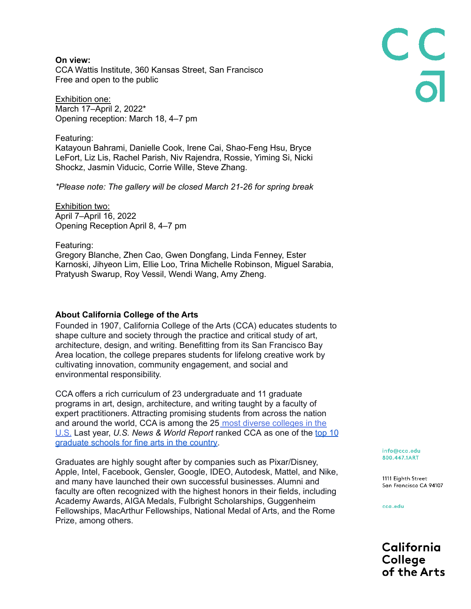**On view:** CCA Wattis Institute, 360 Kansas Street, San Francisco Free and open to the public

Exhibition one: March 17–April 2, 2022\* Opening reception: March 18, 4–7 pm

Featuring: Katayoun Bahrami, Danielle Cook, Irene Cai, Shao-Feng Hsu, Bryce LeFort, Liz Lis, Rachel Parish, Niv Rajendra, Rossie, Yiming Si, Nicki Shockz, Jasmin Viducic, Corrie Wille, Steve Zhang.

*\*Please note: The gallery will be closed March 21-26 for spring break*

Exhibition two: April 7–April 16, 2022 Opening Reception April 8, 4–7 pm

Featuring: Gregory Blanche, Zhen Cao, Gwen Dongfang, Linda Fenney, Ester Karnoski, Jihyeon Lim, Ellie Loo, Trina Michelle Robinson, Miguel Sarabia, Pratyush Swarup, Roy Vessil, Wendi Wang, Amy Zheng.

## **About California College of the Arts**

Founded in 1907, California College of the Arts (CCA) educates students to shape culture and society through the practice and critical study of art, architecture, design, and writing. Benefitting from its San Francisco Bay Area location, the college prepares students for lifelong creative work by cultivating innovation, community engagement, and social and environmental responsibility.

CCA offers a rich curriculum of 23 undergraduate and 11 graduate programs in art, design, architecture, and writing taught by a faculty of expert practitioners. Attracting promising students from across the nation and around the world, CCA is among the 25 most diverse [colleges](https://www.studyinternational.com/news/10-diverse-colleges-united-states/) in the [U.S.](https://www.studyinternational.com/news/10-diverse-colleges-united-states/) Last year, *U.S. News & World Report* ranked CCA as one of the [top](https://www.usnews.com/best-graduate-schools/top-fine-arts-schools/fine-arts-rankings) 10 [graduate](https://www.usnews.com/best-graduate-schools/top-fine-arts-schools/fine-arts-rankings) schools for fine arts in the country.

Graduates are highly sought after by companies such as Pixar/Disney, Apple, Intel, Facebook, Gensler, Google, IDEO, Autodesk, Mattel, and Nike, and many have launched their own successful businesses. Alumni and faculty are often recognized with the highest honors in their fields, including Academy Awards, AIGA Medals, Fulbright Scholarships, Guggenheim Fellowships, MacArthur Fellowships, National Medal of Arts, and the Rome Prize, among others.

info@cca.edu 800.447.1ART

1111 Eighth Street San Francisco CA 94107

CC<br>a

cca.edu

California College of the Arts